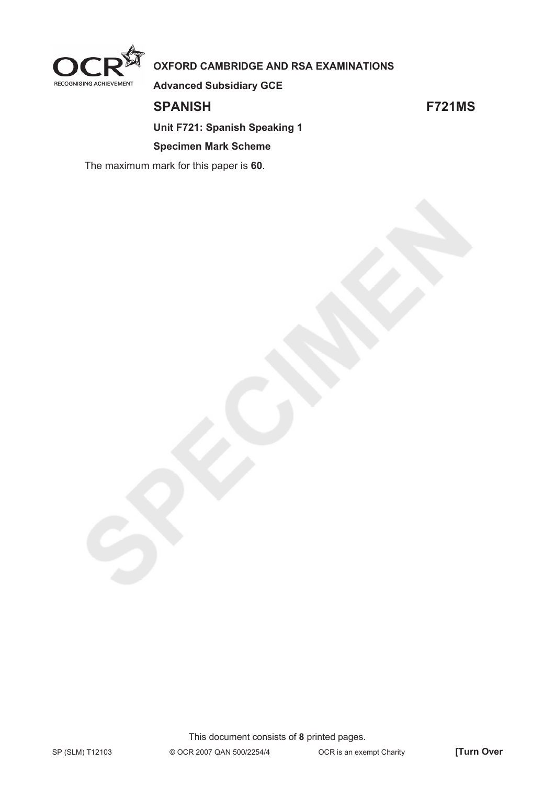

**OXFORD CAMBRIDGE AND RSA EXAMINATIONS** 

**Advanced Subsidiary GCE** 

**SPANISH F721MS** 

**Unit F721: Spanish Speaking 1** 

#### **Specimen Mark Scheme**

The maximum mark for this paper is **60**.

This document consists of **8** printed pages.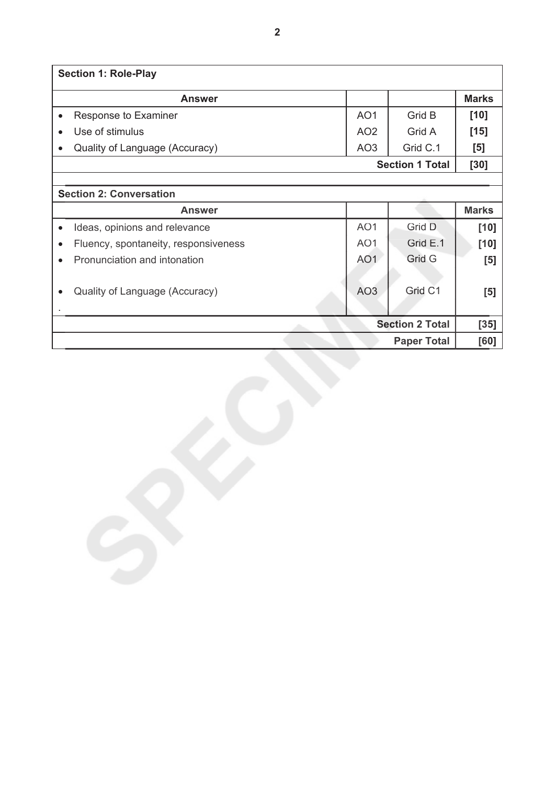| <b>Section 1: Role-Play</b>                       |                 |                        |              |
|---------------------------------------------------|-----------------|------------------------|--------------|
| <b>Answer</b>                                     |                 |                        | <b>Marks</b> |
| Response to Examiner<br>$\bullet$                 | AO <sub>1</sub> | Grid B                 | $[10]$       |
| Use of stimulus<br>$\bullet$                      | AO <sub>2</sub> | Grid A                 | $[15]$       |
| Quality of Language (Accuracy)<br>$\bullet$       | AO <sub>3</sub> | Grid C.1               | [5]          |
|                                                   |                 | <b>Section 1 Total</b> | [30]         |
|                                                   |                 |                        |              |
| <b>Section 2: Conversation</b>                    |                 |                        |              |
| <b>Answer</b>                                     |                 |                        | <b>Marks</b> |
| Ideas, opinions and relevance<br>$\bullet$        | AO <sub>1</sub> | Grid D                 | $[10]$       |
| Fluency, spontaneity, responsiveness<br>$\bullet$ | AO <sub>1</sub> | Grid E.1               | $[10]$       |
| Pronunciation and intonation<br>$\bullet$         | AO <sub>1</sub> | Grid G                 | [5]          |
|                                                   |                 |                        |              |
| Quality of Language (Accuracy)<br>$\bullet$       | AO <sub>3</sub> | Grid C1                | [5]          |
|                                                   |                 |                        |              |
|                                                   |                 | <b>Section 2 Total</b> | $[35]$       |
|                                                   |                 | <b>Paper Total</b>     | [60]         |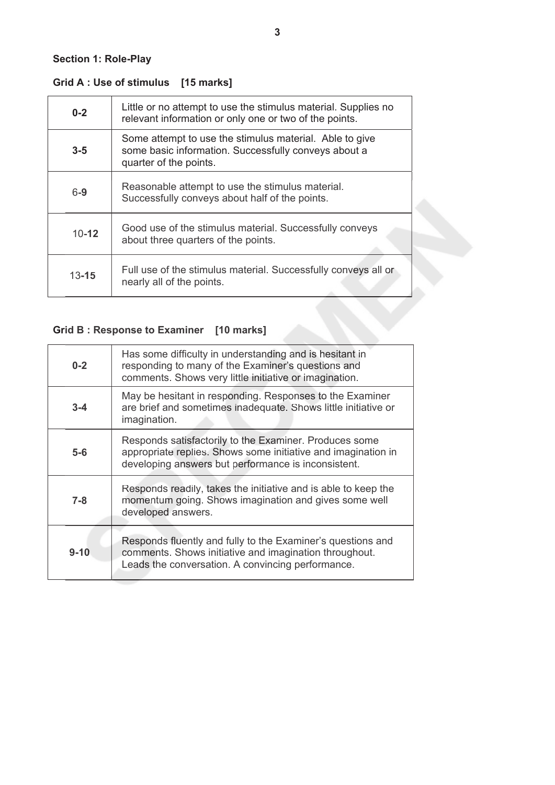### **Grid A : Use of stimulus [15 marks]**

| $0 - 2$   | Little or no attempt to use the stimulus material. Supplies no<br>relevant information or only one or two of the points.                  |
|-----------|-------------------------------------------------------------------------------------------------------------------------------------------|
| $3 - 5$   | Some attempt to use the stimulus material. Able to give<br>some basic information. Successfully conveys about a<br>quarter of the points. |
| $6-9$     | Reasonable attempt to use the stimulus material.<br>Successfully conveys about half of the points.                                        |
| $10 - 12$ | Good use of the stimulus material. Successfully conveys<br>about three quarters of the points.                                            |
| $13 - 15$ | Full use of the stimulus material. Successfully conveys all or<br>nearly all of the points.                                               |

# **Grid B : Response to Examiner [10 marks]**

| $0 - 2$  | Has some difficulty in understanding and is hesitant in<br>responding to many of the Examiner's questions and<br>comments. Shows very little initiative or imagination.        |
|----------|--------------------------------------------------------------------------------------------------------------------------------------------------------------------------------|
| $3 - 4$  | May be hesitant in responding. Responses to the Examiner<br>are brief and sometimes inadequate. Shows little initiative or<br>imagination.                                     |
| $5-6$    | Responds satisfactorily to the Examiner. Produces some<br>appropriate replies. Shows some initiative and imagination in<br>developing answers but performance is inconsistent. |
| $7 - 8$  | Responds readily, takes the initiative and is able to keep the<br>momentum going. Shows imagination and gives some well<br>developed answers.                                  |
| $9 - 10$ | Responds fluently and fully to the Examiner's questions and<br>comments. Shows initiative and imagination throughout.<br>Leads the conversation. A convincing performance.     |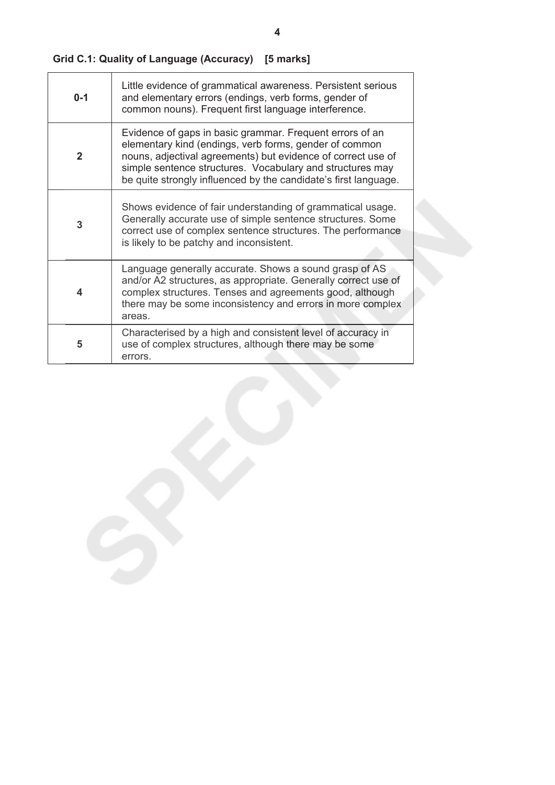| Grid C.1: Quality of Language (Accuracy) [5 marks] |  |  |
|----------------------------------------------------|--|--|
|----------------------------------------------------|--|--|

| $0 - 1$        | Little evidence of grammatical awareness. Persistent serious<br>and elementary errors (endings, verb forms, gender of<br>common nouns). Frequent first language interference.                                                                                                                                      |
|----------------|--------------------------------------------------------------------------------------------------------------------------------------------------------------------------------------------------------------------------------------------------------------------------------------------------------------------|
| $\overline{2}$ | Evidence of gaps in basic grammar. Frequent errors of an<br>elementary kind (endings, verb forms, gender of common<br>nouns, adjectival agreements) but evidence of correct use of<br>simple sentence structures. Vocabulary and structures may<br>be quite strongly influenced by the candidate's first language. |
| 3              | Shows evidence of fair understanding of grammatical usage.<br>Generally accurate use of simple sentence structures. Some<br>correct use of complex sentence structures. The performance<br>is likely to be patchy and inconsistent.                                                                                |
| 4              | Language generally accurate. Shows a sound grasp of AS<br>and/or A2 structures, as appropriate. Generally correct use of<br>complex structures. Tenses and agreements good, although<br>there may be some inconsistency and errors in more complex<br>areas.                                                       |
| 5              | Characterised by a high and consistent level of accuracy in<br>use of complex structures, although there may be some<br>errors.                                                                                                                                                                                    |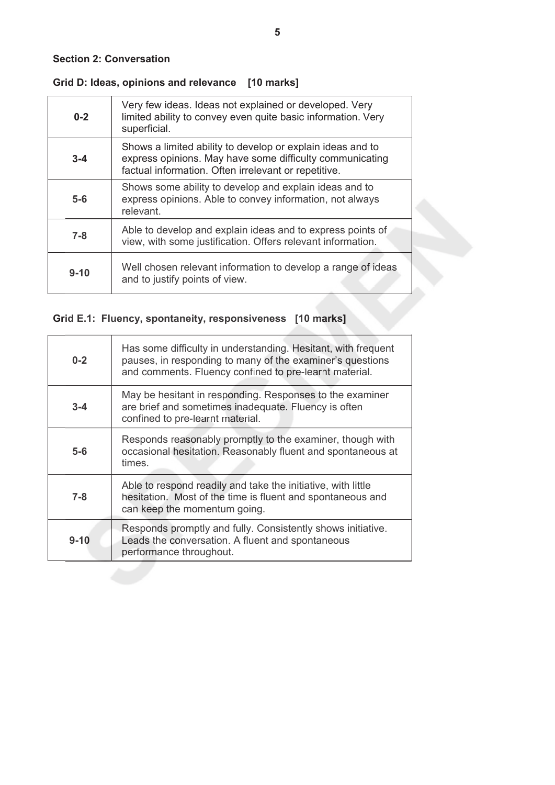### **Grid D: Ideas, opinions and relevance [10 marks]**

| $0 - 2$  | Very few ideas. Ideas not explained or developed. Very<br>limited ability to convey even quite basic information. Very<br>superficial.                                         |
|----------|--------------------------------------------------------------------------------------------------------------------------------------------------------------------------------|
| $3 - 4$  | Shows a limited ability to develop or explain ideas and to<br>express opinions. May have some difficulty communicating<br>factual information. Often irrelevant or repetitive. |
| $5-6$    | Shows some ability to develop and explain ideas and to<br>express opinions. Able to convey information, not always<br>relevant.                                                |
| $7 - 8$  | Able to develop and explain ideas and to express points of<br>view, with some justification. Offers relevant information.                                                      |
| $9 - 10$ | Well chosen relevant information to develop a range of ideas<br>and to justify points of view.                                                                                 |

### **Grid E.1: Fluency, spontaneity, responsiveness [10 marks]**

| $0 - 2$  | Has some difficulty in understanding. Hesitant, with frequent<br>pauses, in responding to many of the examiner's questions<br>and comments. Fluency confined to pre-learnt material. |
|----------|--------------------------------------------------------------------------------------------------------------------------------------------------------------------------------------|
| $3 - 4$  | May be hesitant in responding. Responses to the examiner<br>are brief and sometimes inadequate. Fluency is often<br>confined to pre-learnt material.                                 |
| $5-6$    | Responds reasonably promptly to the examiner, though with<br>occasional hesitation. Reasonably fluent and spontaneous at<br>times.                                                   |
| $7 - 8$  | Able to respond readily and take the initiative, with little<br>hesitation. Most of the time is fluent and spontaneous and<br>can keep the momentum going.                           |
| $9 - 10$ | Responds promptly and fully. Consistently shows initiative.<br>Leads the conversation. A fluent and spontaneous<br>performance throughout.                                           |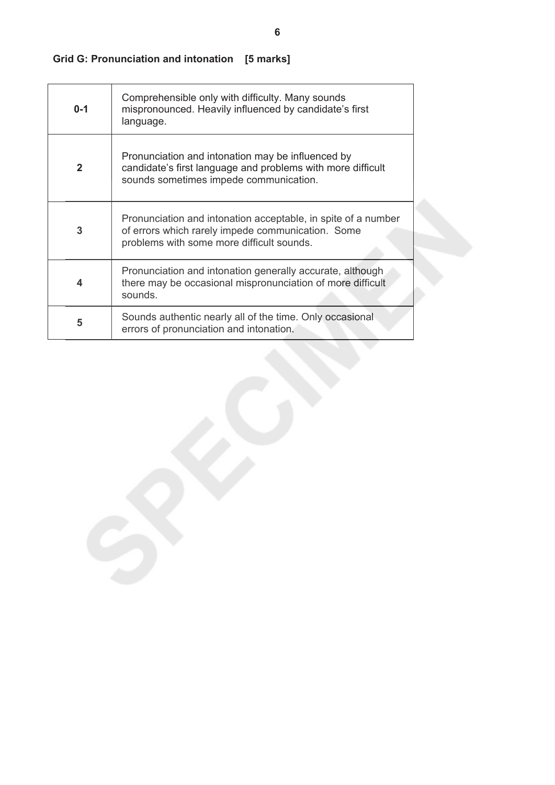# **Grid G: Pronunciation and intonation [5 marks]**

| $0 - 1$            | Comprehensible only with difficulty. Many sounds<br>mispronounced. Heavily influenced by candidate's first<br>language.                                         |
|--------------------|-----------------------------------------------------------------------------------------------------------------------------------------------------------------|
| $\mathbf{2}$       | Pronunciation and intonation may be influenced by<br>candidate's first language and problems with more difficult<br>sounds sometimes impede communication.      |
| 3                  | Pronunciation and intonation acceptable, in spite of a number<br>of errors which rarely impede communication. Some<br>problems with some more difficult sounds. |
| $\overline{\bf 4}$ | Pronunciation and intonation generally accurate, although<br>there may be occasional mispronunciation of more difficult<br>sounds.                              |
| 5                  | Sounds authentic nearly all of the time. Only occasional<br>errors of pronunciation and intonation.                                                             |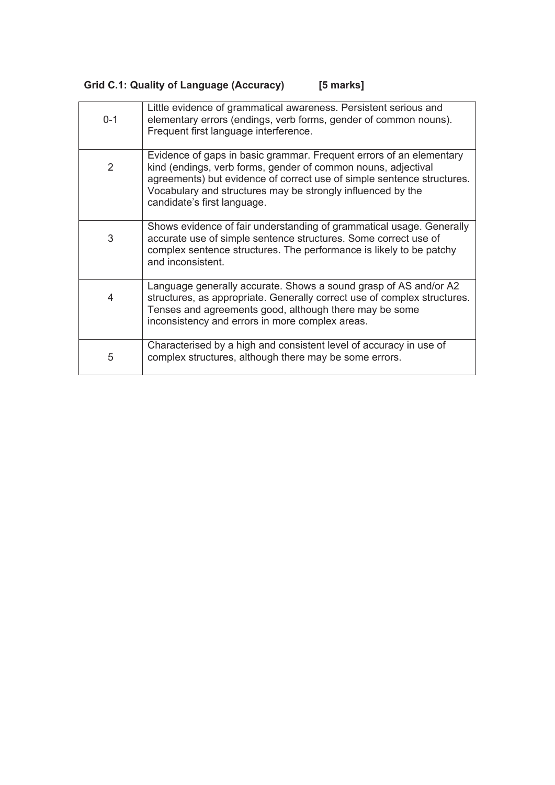| Grid C.1: Quality of Language (Accuracy) |  |  | [5 marks] |
|------------------------------------------|--|--|-----------|
|------------------------------------------|--|--|-----------|

| $0 - 1$       | Little evidence of grammatical awareness. Persistent serious and<br>elementary errors (endings, verb forms, gender of common nouns).<br>Frequent first language interference.                                                                                                                                |
|---------------|--------------------------------------------------------------------------------------------------------------------------------------------------------------------------------------------------------------------------------------------------------------------------------------------------------------|
| $\mathcal{P}$ | Evidence of gaps in basic grammar. Frequent errors of an elementary<br>kind (endings, verb forms, gender of common nouns, adjectival<br>agreements) but evidence of correct use of simple sentence structures.<br>Vocabulary and structures may be strongly influenced by the<br>candidate's first language. |
| 3             | Shows evidence of fair understanding of grammatical usage. Generally<br>accurate use of simple sentence structures. Some correct use of<br>complex sentence structures. The performance is likely to be patchy<br>and inconsistent.                                                                          |
| 4             | Language generally accurate. Shows a sound grasp of AS and/or A2<br>structures, as appropriate. Generally correct use of complex structures.<br>Tenses and agreements good, although there may be some<br>inconsistency and errors in more complex areas.                                                    |
| 5             | Characterised by a high and consistent level of accuracy in use of<br>complex structures, although there may be some errors.                                                                                                                                                                                 |